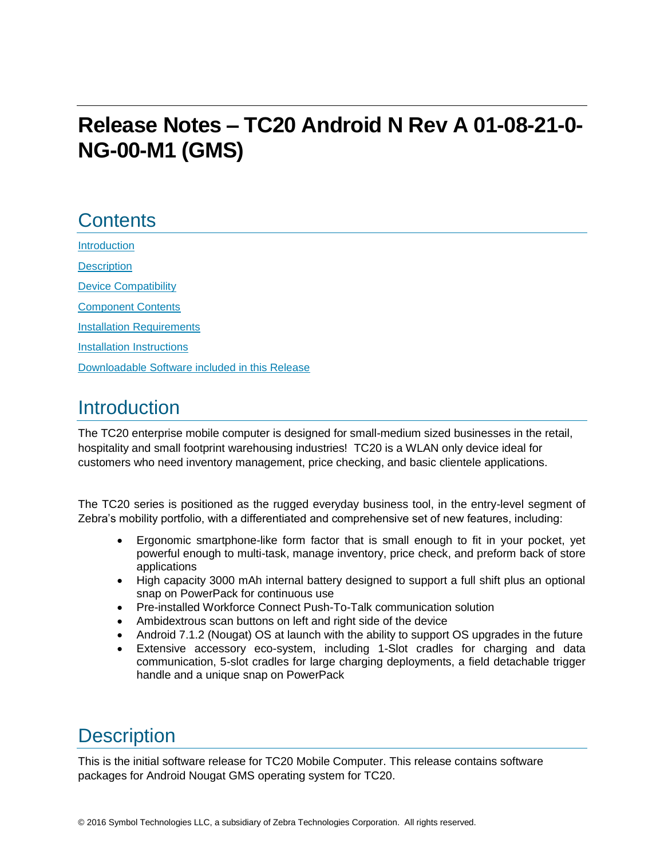# **Release Notes – TC20 Android N Rev A 01-08-21-0- NG-00-M1 (GMS)**

## **Contents**

[Introduction](#page-0-0) **[Description](#page-0-0)** [Device Compatibility](#page-1-0) [Component Contents](#page-1-1) [Installation Requirements](#page-2-0) [Installation Instructions](#page-2-1) [Downloadable Software included in this Release](#page-4-0)

## <span id="page-0-0"></span>**Introduction**

The TC20 enterprise mobile computer is designed for small-medium sized businesses in the retail, hospitality and small footprint warehousing industries! TC20 is a WLAN only device ideal for customers who need inventory management, price checking, and basic clientele applications.

The TC20 series is positioned as the rugged everyday business tool, in the entry-level segment of Zebra's mobility portfolio, with a differentiated and comprehensive set of new features, including:

- Ergonomic smartphone-like form factor that is small enough to fit in your pocket, yet powerful enough to multi-task, manage inventory, price check, and preform back of store applications
- High capacity 3000 mAh internal battery designed to support a full shift plus an optional snap on PowerPack for continuous use
- Pre-installed Workforce Connect Push-To-Talk communication solution
- Ambidextrous scan buttons on left and right side of the device
- Android 7.1.2 (Nougat) OS at launch with the ability to support OS upgrades in the future
- Extensive accessory eco-system, including 1-Slot cradles for charging and data communication, 5-slot cradles for large charging deployments, a field detachable trigger handle and a unique snap on PowerPack

## **Description**

This is the initial software release for TC20 Mobile Computer. This release contains software packages for Android Nougat GMS operating system for TC20.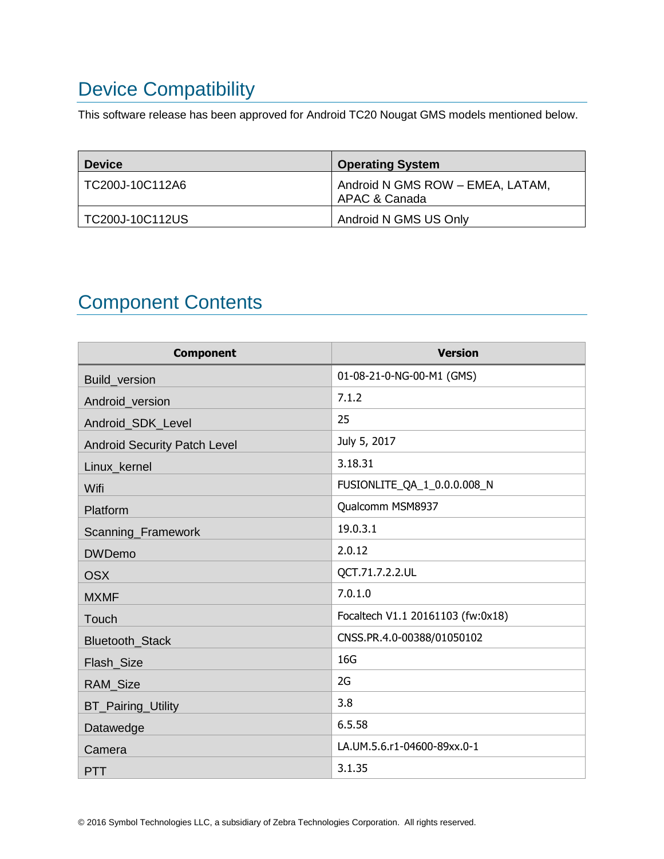# <span id="page-1-0"></span>Device Compatibility

This software release has been approved for Android TC20 Nougat GMS models mentioned below.

| <b>Device</b>   | <b>Operating System</b>                           |
|-----------------|---------------------------------------------------|
| TC200J-10C112A6 | Android N GMS ROW - EMEA, LATAM,<br>APAC & Canada |
| TC200J-10C112US | Android N GMS US Only                             |

## <span id="page-1-1"></span>Component Contents

| <b>Component</b>                    | <b>Version</b>                    |
|-------------------------------------|-----------------------------------|
| Build_version                       | 01-08-21-0-NG-00-M1 (GMS)         |
| Android_version                     | 7.1.2                             |
| Android_SDK_Level                   | 25                                |
| <b>Android Security Patch Level</b> | July 5, 2017                      |
| Linux kernel                        | 3.18.31                           |
| Wifi                                | FUSIONLITE_QA_1_0.0.0.008_N       |
| Platform                            | Qualcomm MSM8937                  |
| Scanning_Framework                  | 19.0.3.1                          |
| <b>DWDemo</b>                       | 2.0.12                            |
| <b>OSX</b>                          | QCT.71.7.2.2.UL                   |
| <b>MXMF</b>                         | 7.0.1.0                           |
| Touch                               | Focaltech V1.1 20161103 (fw:0x18) |
| Bluetooth_Stack                     | CNSS.PR.4.0-00388/01050102        |
| Flash_Size                          | 16G                               |
| <b>RAM Size</b>                     | 2G                                |
| <b>BT_Pairing_Utility</b>           | 3.8                               |
| Datawedge                           | 6.5.58                            |
| Camera                              | LA.UM.5.6.r1-04600-89xx.0-1       |
| <b>PTT</b>                          | 3.1.35                            |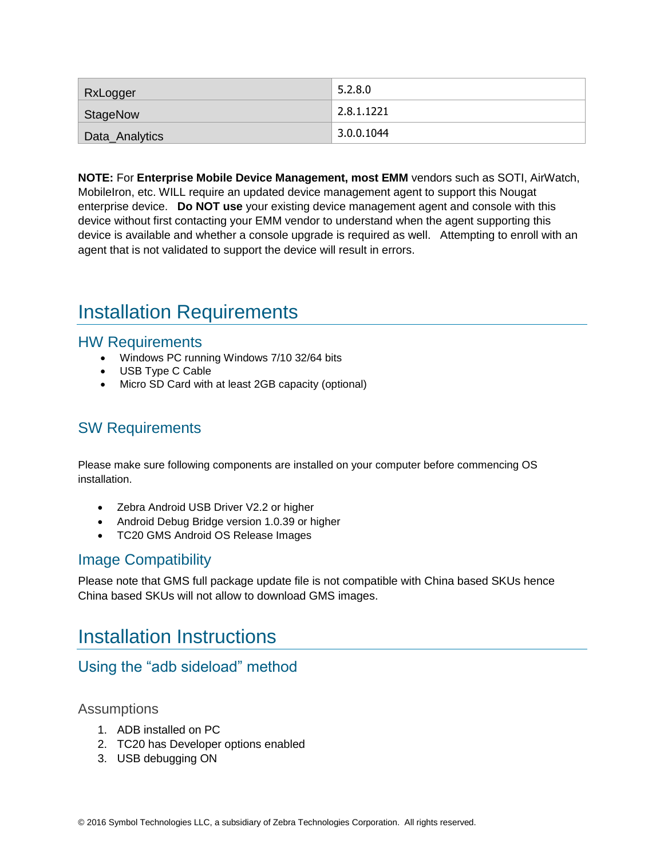| <b>RxLogger</b> | 5.2.8.0            |
|-----------------|--------------------|
| StageNow        | 2.8.1.1221         |
| Data_Analytics  | $\vert$ 3.0.0.1044 |

**NOTE:** For **Enterprise Mobile Device Management, most EMM** vendors such as SOTI, AirWatch, MobileIron, etc. WILL require an updated device management agent to support this Nougat enterprise device. **Do NOT use** your existing device management agent and console with this device without first contacting your EMM vendor to understand when the agent supporting this device is available and whether a console upgrade is required as well. Attempting to enroll with an agent that is not validated to support the device will result in errors.

## <span id="page-2-0"></span>Installation Requirements

#### HW Requirements

- Windows PC running Windows 7/10 32/64 bits
- USB Type C Cable
- Micro SD Card with at least 2GB capacity (optional)

#### SW Requirements

Please make sure following components are installed on your computer before commencing OS installation.

- Zebra Android USB Driver V2.2 or higher
- Android Debug Bridge version 1.0.39 or higher
- TC20 GMS Android OS Release Images

#### Image Compatibility

Please note that GMS full package update file is not compatible with China based SKUs hence China based SKUs will not allow to download GMS images.

### <span id="page-2-1"></span>Installation Instructions

### Using the "adb sideload" method

#### Assumptions

- 1. ADB installed on PC
- 2. TC20 has Developer options enabled
- 3. USB debugging ON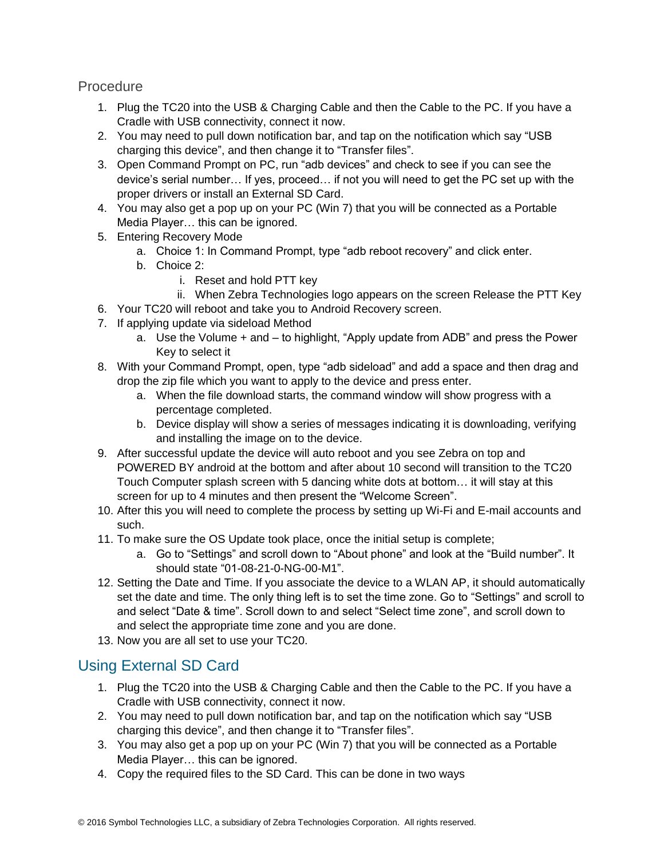**Procedure** 

- 1. Plug the TC20 into the USB & Charging Cable and then the Cable to the PC. If you have a Cradle with USB connectivity, connect it now.
- 2. You may need to pull down notification bar, and tap on the notification which say "USB charging this device", and then change it to "Transfer files".
- 3. Open Command Prompt on PC, run "adb devices" and check to see if you can see the device's serial number… If yes, proceed… if not you will need to get the PC set up with the proper drivers or install an External SD Card.
- 4. You may also get a pop up on your PC (Win 7) that you will be connected as a Portable Media Player… this can be ignored.
- 5. Entering Recovery Mode
	- a. Choice 1: In Command Prompt, type "adb reboot recovery" and click enter.
	- b. Choice 2:
		- i. Reset and hold PTT key
		- ii. When Zebra Technologies logo appears on the screen Release the PTT Key
- 6. Your TC20 will reboot and take you to Android Recovery screen.
- 7. If applying update via sideload Method
	- a. Use the Volume + and to highlight, "Apply update from ADB" and press the Power Key to select it
- 8. With your Command Prompt, open, type "adb sideload" and add a space and then drag and drop the zip file which you want to apply to the device and press enter.
	- a. When the file download starts, the command window will show progress with a percentage completed.
	- b. Device display will show a series of messages indicating it is downloading, verifying and installing the image on to the device.
- 9. After successful update the device will auto reboot and you see Zebra on top and POWERED BY android at the bottom and after about 10 second will transition to the TC20 Touch Computer splash screen with 5 dancing white dots at bottom… it will stay at this screen for up to 4 minutes and then present the "Welcome Screen".
- 10. After this you will need to complete the process by setting up Wi-Fi and E-mail accounts and such.
- 11. To make sure the OS Update took place, once the initial setup is complete;
	- a. Go to "Settings" and scroll down to "About phone" and look at the "Build number". It should state "01-08-21-0-NG-00-M1".
- 12. Setting the Date and Time. If you associate the device to a WLAN AP, it should automatically set the date and time. The only thing left is to set the time zone. Go to "Settings" and scroll to and select "Date & time". Scroll down to and select "Select time zone", and scroll down to and select the appropriate time zone and you are done.
- 13. Now you are all set to use your TC20.

### Using External SD Card

- 1. Plug the TC20 into the USB & Charging Cable and then the Cable to the PC. If you have a Cradle with USB connectivity, connect it now.
- 2. You may need to pull down notification bar, and tap on the notification which say "USB charging this device", and then change it to "Transfer files".
- 3. You may also get a pop up on your PC (Win 7) that you will be connected as a Portable Media Player… this can be ignored.
- 4. Copy the required files to the SD Card. This can be done in two ways